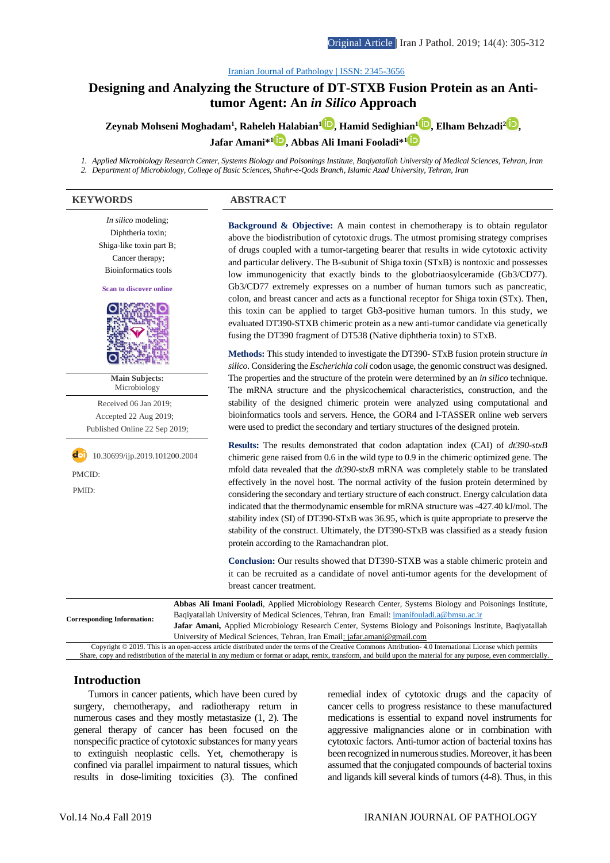#### [Iranian Journal of Pathology | ISSN: 2345-3656](http://ijp.iranpath.org/)

# **[Designing and Analyzing the Structure of DT-STXB Fusion Protein as an Anti](http://ijp.iranpath.org/article_36632.html)[tumor Agent: An](http://ijp.iranpath.org/article_36632.html)** *in Silico* **Approach**

**Zeynab Mohseni Moghadam<sup>1</sup> , Raheleh Halabian[1](https://www.orcid.org/0000-0002-3363-8276) , Hamid Sedighian<sup>1</sup> [,](https://www.orcid.org/0000-0002-7609-9938) Elham Behzadi[2](https://www.orcid.org/0000-0001-9050-3127) , Jafar Amani\* [1](https://www.orcid.org/0000-0002-5155-4738) , Abbas Ali Imani Fooladi\*<sup>1</sup>**

*1. Applied Microbiology Research Center, Systems Biology and Poisonings Institute, Baqiyatallah University of Medical Sciences, Tehran, Iran 2. Department of Microbiology, College of Basic Sciences, Shahr-e-Qods Branch, Islamic Azad University, Tehran, Iran*

### **KEYWORDS ABSTRACT**

*In silico* modeling; Diphtheria toxin; Shiga-like toxin part B; Cancer therapy; Bioinformatics tools **Scan to discover online Main Subjects:**  Microbiology Received 06 Jan 2019; Accepted 22 Aug 2019; Published Online 22 Sep 2019; **doi** 10.30699/ijp.2019.101200.2004 PMCID: PMID: **Corresponding Information:**

**Background & Objective:** A main contest in chemotherapy is to obtain regulator above the biodistribution of cytotoxic drugs. The utmost promising strategy comprises of drugs coupled with a tumor-targeting bearer that results in wide cytotoxic activity and particular delivery. The B-subunit of Shiga toxin (STxB) is nontoxic and possesses low immunogenicity that exactly binds to the globotriaosylceramide (Gb3/CD77). Gb3/CD77 extremely expresses on a number of human tumors such as pancreatic, colon, and breast cancer and acts as a functional receptor for Shiga toxin (STx). Then, this toxin can be applied to target Gb3-positive human tumors. In this study, we evaluated DT390-STXB chimeric protein as a new anti-tumor candidate via genetically fusing the DT390 fragment of DT538 (Native diphtheria toxin) to STxB.

**Methods:** This study intended to investigate the DT390- STxB fusion protein structure *in silico.* Considering the *Escherichia coli* codon usage, the genomic construct was designed. The properties and the structure of the protein were determined by an *in silico* technique. The mRNA structure and the physicochemical characteristics, construction, and the stability of the designed chimeric protein were analyzed using computational and bioinformatics tools and servers. Hence, the GOR4 and I-TASSER online web servers were used to predict the secondary and tertiary structures of the designed protein.

**Results:** The results demonstrated that codon adaptation index (CAI) of *dt390-stxB* chimeric gene raised from 0.6 in the wild type to 0.9 in the chimeric optimized gene. The mfold data revealed that the *dt390-stxB* mRNA was completely stable to be translated effectively in the novel host. The normal activity of the fusion protein determined by considering the secondary and tertiary structure of each construct. Energy calculation data indicated that the thermodynamic ensemble for mRNA structure was -427.40 kJ/mol. The stability index (SI) of DT390-STxB was 36.95, which is quite appropriate to preserve the stability of the construct. Ultimately, the DT390-STxB was classified as a steady fusion protein according to the Ramachandran plot.

**Conclusion:** Our results showed that DT390-STXB was a stable chimeric protein and it can be recruited as a candidate of novel anti-tumor agents for the development of breast cancer treatment.

**Abbas Ali Imani Fooladi**, Applied Microbiology Research Center, Systems Biology and Poisonings Institute, Baqiyatallah University of Medical Sciences, Tehran, Iran Email[: imanifouladi.a@bmsu.ac.ir](mailto:imanifouladi.a@bmsu.ac.ir) **Jafar Amani,** Applied Microbiology Research Center, Systems Biology and Poisonings Institute, Baqiyatallah University of Medical Sciences, Tehran, Iran Email: jafar.amani@gmail.com Copyright © 2019. This is an open-access article distributed under the terms of the Creative Commons Attribution- 4.0 International License which permits

Share, copy and redistribution of the material in any medium or format or adapt, remix, transform, and build upon the material for any purpose, even commercially

### **Introduction**

Tumors in cancer patients, which have been cured by surgery, chemotherapy, and radiotherapy return in numerous cases and they mostly metastasize (1, 2). The general therapy of cancer has been focused on the nonspecific practice of cytotoxic substances for many years to extinguish neoplastic cells. Yet, chemotherapy is confined via parallel impairment to natural tissues, which results in dose-limiting toxicities (3). The confined remedial index of cytotoxic drugs and the capacity of cancer cells to progress resistance to these manufactured medications is essential to expand novel instruments for aggressive malignancies alone or in combination with cytotoxic factors. Anti-tumor action of bacterial toxins has been recognized in numerous studies. Moreover, it has been assumed that the conjugated compounds of bacterial toxins and ligands kill several kinds of tumors (4-8). Thus, in this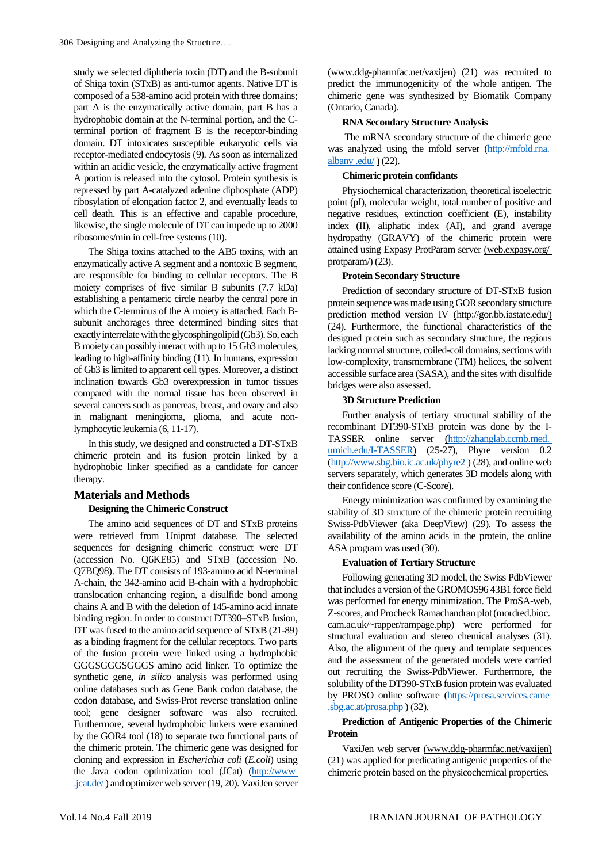study we selected diphtheria toxin (DT) and the B-subunit of Shiga toxin (STxB) as anti-tumor agents. Native DT is composed of a 538-amino acid protein with three domains; part A is the enzymatically active domain, part B has a hydrophobic domain at the N-terminal portion, and the Cterminal portion of fragment B is the receptor-binding domain. DT intoxicates susceptible eukaryotic cells via receptor-mediated endocytosis (9). As soon as internalized within an acidic vesicle, the enzymatically active fragment A portion is released into the cytosol. Protein synthesis is repressed by part A-catalyzed adenine diphosphate (ADP) ribosylation of elongation factor 2, and eventually leads to cell death. This is an effective and capable procedure, likewise, the single molecule of DT can impede up to 2000 ribosomes/min in cell-free systems (10).

The Shiga toxins attached to the AB5 toxins, with an enzymatically active A segment and a nontoxic B segment, are responsible for binding to cellular receptors. The B moiety comprises of five similar B subunits (7.7 kDa) establishing a pentameric circle nearby the central pore in which the C-terminus of the A moiety is attached. Each Bsubunit anchorages three determined binding sites that exactly interrelate with the glycosphingolipid (Gb3). So, each B moiety can possibly interact with up to 15 Gb3 molecules, leading to high-affinity binding (11). In humans, expression of Gb3 is limited to apparent cell types. Moreover, a distinct inclination towards Gb3 overexpression in tumor tissues compared with the normal tissue has been observed in several cancers such as pancreas, breast, and ovary and also in malignant meningioma, glioma, and acute nonlymphocytic leukemia (6, 11-17).

In this study, we designed and constructed a DT-STxB chimeric protein and its fusion protein linked by a hydrophobic linker specified as a candidate for cancer therapy.

# **Materials and Methods**

# **Designing the Chimeric Construct**

The amino acid sequences of DT and STxB proteins were retrieved from Uniprot database. The selected sequences for designing chimeric construct were DT (accession No. Q6KE85) and STxB (accession No. Q7BQ98). The DT consists of 193-amino acid N-terminal A-chain, the 342-amino acid B-chain with a hydrophobic translocation enhancing region, a disulfide bond among chains A and B with the deletion of 145-amino acid innate binding region. In order to construct DT390–STxB fusion, DT was fused to the amino acid sequence of STxB (21-89) as a binding fragment for the cellular receptors. Two parts of the fusion protein were linked using a hydrophobic GGGSGGGSGGGS amino acid linker. To optimize the synthetic gene, *in silico* analysis was performed using online databases such as Gene Bank codon database, the codon database, and Swiss-Prot reverse translation online tool; gene designer software was also recruited. Furthermore, several hydrophobic linkers were examined by the GOR4 tool (18) to separate two functional parts of the chimeric protein. The chimeric gene was designed for cloning and expression in *Escherichia coli* (*E.coli*) using the Java codon optimization tool (JCat) (http://www .jcat.de/ ) and optimizer web server (19, 20). VaxiJen server

(www.ddg-pharmfac.net/vaxijen) (21) was recruited to predict the immunogenicity of the whole antigen. The chimeric gene was synthesized by Biomatik Company (Ontario, Canada).

#### **RNA Secondary Structure Analysis**

The mRNA secondary structure of the chimeric gene was analyzed using the mfold server (http://mfold.rna. albany .edu/ ) (22).

# **Chimeric protein confidants**

Physiochemical characterization, theoretical isoelectric point (pI), molecular weight, total number of positive and negative residues, extinction coefficient (E), instability index (II), aliphatic index (AI), and grand average hydropathy (GRAVY) of the chimeric protein were attained using Expasy ProtParam server (web.expasy.org/ protparam $(23)$ .

### **Protein Secondary Structure**

Prediction of secondary structure of DT-STxB fusion protein sequence was made using GOR secondary structure prediction method version IV (http://gor.bb.iastate.edu/) (24). Furthermore, the functional characteristics of the designed protein such as secondary structure, the regions lacking normal structure, coiled-coil domains, sections with low-complexity, transmembrane (TM) helices, the solvent accessible surface area (SASA), and the sites with disulfide bridges were also assessed.

### **3D Structure Prediction**

Further analysis of tertiary structural stability of the recombinant DT390-STxB protein was done by the I-TASSER online server (http://zhanglab.ccmb.med. umich.edu/I-TASSER) (25-27), Phyre version 0.2 [\(http://www.sbg.bio.ic.ac.uk/phyre2](http://www.sbg.bio.ic.ac.uk/phyre2) ) (28), and online web servers separately, which generates 3D models along with their confidence score (C-Score).

Energy minimization was confirmed by examining the stability of 3D structure of the chimeric protein recruiting Swiss-PdbViewer (aka DeepView) (29). To assess the availability of the amino acids in the protein, the online ASA program was used (30).

### **Evaluation of Tertiary Structure**

Following generating 3D model, the Swiss PdbViewer that includes a version of the GROMOS96 43B1 force field was performed for energy minimization. The ProSA-web, Z-scores, and Procheck Ramachandran plot (mordred.bioc. cam.ac.uk/~rapper/rampage.php) were performed for structural evaluation and stereo chemical analyses (31). Also, the alignment of the query and template sequences and the assessment of the generated models were carried out recruiting the Swiss-PdbViewer. Furthermore, the solubility of the DT390-STxB fusion protein was evaluated by PROSO online software (https://prosa.services.came  $\underline{\text{sbg.ac.at/prosa.php}} (32)$ .

# **Prediction of Antigenic Properties of the Chimeric Protein**

VaxiJen web server (www.ddg-pharmfac.net/vaxijen) (21) was applied for predicating antigenic properties of the chimeric protein based on the physicochemical properties.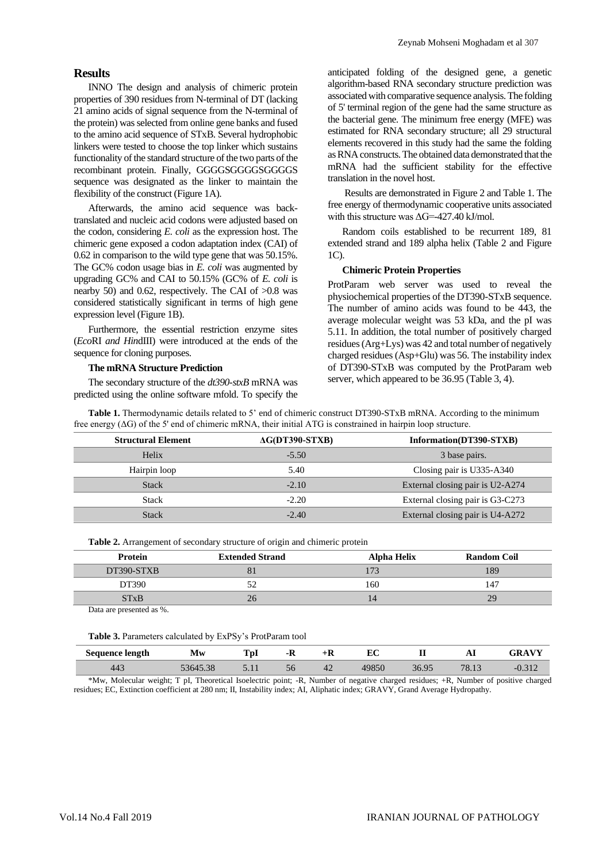# **Results**

INNO The design and analysis of chimeric protein properties of 390 residues from N-terminal of DT (lacking 21 amino acids of signal sequence from the N-terminal of the protein) was selected from online gene banks and fused to the amino acid sequence of STxB. Several hydrophobic linkers were tested to choose the top linker which sustains functionality of the standard structure of the two parts of the recombinant protein. Finally, GGGGSGGGGSGGGGS sequence was designated as the linker to maintain the flexibility of the construct (Figure 1A).

Afterwards, the amino acid sequence was backtranslated and nucleic acid codons were adjusted based on the codon, considering *E. coli* as the expression host. The chimeric gene exposed a codon adaptation index (CAI) of 0.62 in comparison to the wild type gene that was 50.15%. The GC% codon usage bias in *E. coli* was augmented by upgrading GC% and CAI to 50.15% (GC% of *E. coli* is nearby 50) and 0.62, respectively. The CAI of  $>0.8$  was considered statistically significant in terms of high gene expression level (Figure 1B).

Furthermore, the essential restriction enzyme sites (*Eco*RI *and Hin*dIII) were introduced at the ends of the sequence for cloning purposes.

#### **The mRNA Structure Prediction**

The secondary structure of the *dt390-stxB* mRNA was predicted using the online software mfold. To specify the anticipated folding of the designed gene, a genetic algorithm-based RNA secondary structure prediction was associated with comparative sequence analysis. The folding of 5' terminal region of the gene had the same structure as the bacterial gene. The minimum free energy (MFE) was estimated for RNA secondary structure; all 29 structural elements recovered in this study had the same the folding as RNA constructs. The obtained data demonstrated that the mRNA had the sufficient stability for the effective translation in the novel host.

Results are demonstrated in Figure 2 and Table 1. The free energy of thermodynamic cooperative units associated with this structure was  $\Delta$ G=-427.40 kJ/mol.

Random coils established to be recurrent 189, 81 extended strand and 189 alpha helix (Table 2 and Figure 1C).

#### **Chimeric Protein Properties**

ProtParam web server was used to reveal the physiochemical properties of the DT390-STxB sequence. The number of amino acids was found to be 443, the average molecular weight was 53 kDa, and the pI was 5.11. In addition, the total number of positively charged residues (Arg+Lys) was 42 and total number of negatively charged residues (Asp+Glu) was 56. The instability index of DT390-STxB was computed by the ProtParam web server, which appeared to be 36.95 (Table 3, 4).

**Table 1.** Thermodynamic details related to 5' end of chimeric construct DT390-STxB mRNA. According to the minimum free energy (ΔG) of the 5' end of chimeric mRNA, their initial ATG is constrained in hairpin loop structure.

| <b>Structural Element</b> | $AG(DT390-STXB)$ | Information(DT390-STXB)          |
|---------------------------|------------------|----------------------------------|
| Helix                     | $-5.50$          | 3 base pairs.                    |
| Hairpin loop              | 5.40             | Closing pair is U335-A340        |
| <b>Stack</b>              | $-2.10$          | External closing pair is U2-A274 |
| <b>Stack</b>              | $-2.20$          | External closing pair is G3-C273 |
| <b>Stack</b>              | $-2.40$          | External closing pair is U4-A272 |

**Table 2.** Arrangement of secondary structure of origin and chimeric protein

| Protein                | <b>Extended Strand</b> | <b>Alpha Helix</b> | <b>Random Coil</b> |
|------------------------|------------------------|--------------------|--------------------|
| DT390-STXB             |                        |                    | 89                 |
| DT390                  |                        | 160                | $14^{\circ}$       |
| <b>ST<sub>x</sub>B</b> | 26                     | ے ر                | 29                 |

Data are presented as %.

**Table 3.** Parameters calculated by ExPSy's ProtParam tool

| <b>Sequence length</b> | Mw                    | $\sim$<br>1 VI | - 11<br>- 19  | -17 | т.c<br>ĿU | <br>щ,                  | Аl                      |           |
|------------------------|-----------------------|----------------|---------------|-----|-----------|-------------------------|-------------------------|-----------|
| 44 <sub>5</sub>        | $\bigcap$<br>,9049.98 | .              | эb            | 42  | ovu       | Q <sub>5</sub><br>JU.JJ | $\neg$ $\Omega$<br>0.1J |           |
| $1.11$ $\sim$<br>---   | $\sim$ $\sim$ $\sim$  | $\sim$         | $\sim$ $\sim$ |     | $\sim$    | $\cdot$ $\cdot$         | $\sim$ $\sim$<br>$\sim$ | $\cdot$ . |

\*Mw, Molecular weight; T pI, Theoretical Isoelectric point; -R, Number of negative charged residues; +R, Number of positive charged residues; EC, Extinction coefficient at 280 nm; II, Instability index; AI, Aliphatic index; GRAVY, Grand Average Hydropathy.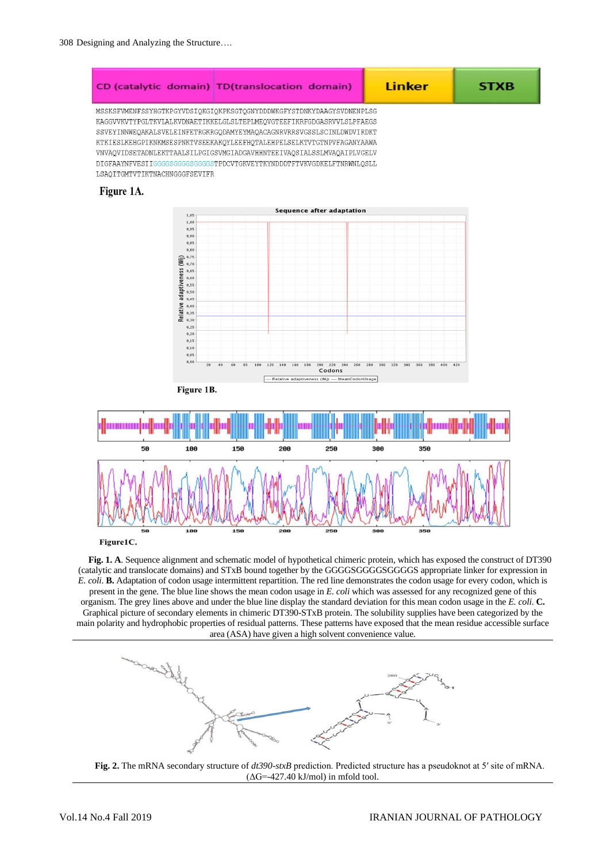

Figure1C.

**Fig. 1. A**. Sequence alignment and schematic model of hypothetical chimeric protein, which has exposed the construct of DT390 (catalytic and translocate domains) and STxB bound together by the GGGGSGGGGSGGGGS appropriate linker for expression in *E. coli*. **B.** Adaptation of codon usage intermittent repartition. The red line demonstrates the codon usage for every codon, which is present in the gene. The blue line shows the mean codon usage in *E. coli* which was assessed for any recognized gene of this organism. The grey lines above and under the blue line display the standard deviation for this mean codon usage in the *E. coli*. **C.** Graphical picture of secondary elements in chimeric DT390-STxB protein. The solubility supplies have been categorized by the main polarity and hydrophobic properties of residual patterns. These patterns have exposed that the mean residue accessible surface area (ASA) have given a high solvent convenience value.



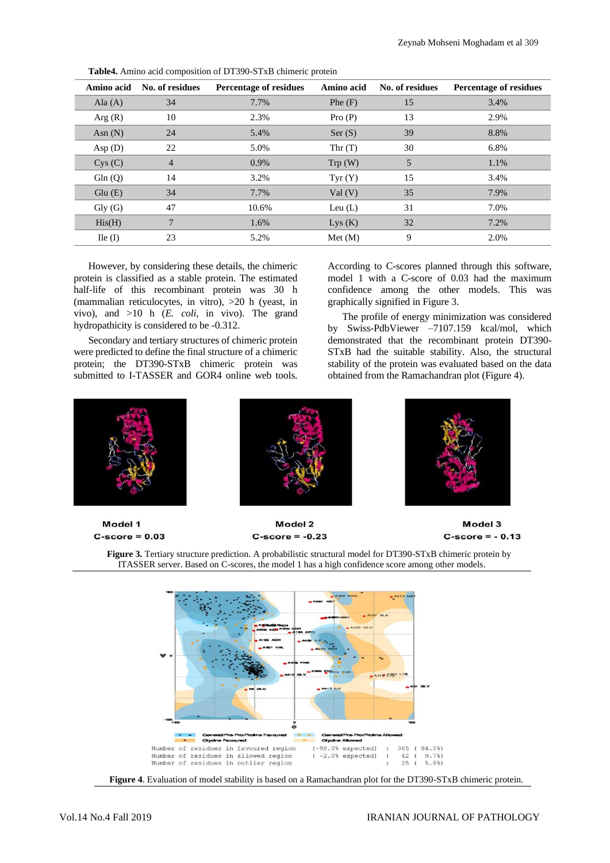| Amino acid          | No. of residues | <b>Percentage of residues</b> | Amino acid | No. of residues | <b>Percentage of residues</b> |
|---------------------|-----------------|-------------------------------|------------|-----------------|-------------------------------|
| Ala $(A)$           | 34              | 7.7%                          | Phe(F)     | 15              | 3.4%                          |
| Arg(R)              | 10              | 2.3%                          | Pro(P)     | 13              | 2.9%                          |
| Asn $(N)$           | 24              | 5.4%                          | Ser(S)     | 39              | 8.8%                          |
| Asp $(D)$           | 22              | 5.0%                          | Thr $(T)$  | 30              | 6.8%                          |
| Cys(C)              | 4               | 0.9%                          | Trp(W)     | 5               | 1.1%                          |
| Gln(Q)              | 14              | 3.2%                          | Tyr(Y)     | 15              | 3.4%                          |
| Glu(E)              | 34              | 7.7%                          | Val(V)     | 35              | 7.9%                          |
| $\mathrm{Gly}\ (G)$ | 47              | 10.6%                         | Leu $(L)$  | 31              | 7.0%                          |
| His(H)              | 7               | 1.6%                          | Lys(K)     | 32              | 7.2%                          |
| $\text{I}$ le (I)   | 23              | 5.2%                          | Met (M)    | 9               | 2.0%                          |
|                     |                 |                               |            |                 |                               |

**Table4.** Amino acid composition of DT390-STxB chimeric protein

However, by considering these details, the chimeric protein is classified as a stable protein. The estimated half-life of this recombinant protein was 30 h (mammalian reticulocytes, in vitro), >20 h (yeast, in vivo), and >10 h (*E. coli*, in vivo). The grand hydropathicity is considered to be -0.312.

Secondary and tertiary structures of chimeric protein were predicted to define the final structure of a chimeric protein; the DT390-STxB chimeric protein was submitted to I-TASSER and GOR4 online web tools. According to C-scores planned through this software, model 1 with a C-score of 0.03 had the maximum confidence among the other models. This was graphically signified in Figure 3.

The profile of energy minimization was considered by Swiss-PdbViewer –7107.159 kcal/mol, which demonstrated that the recombinant protein DT390- STxB had the suitable stability. Also, the structural stability of the protein was evaluated based on the data obtained from the Ramachandran plot (Figure 4).



Model 2  $C$ -score = -0.23







**Figure 4**. Evaluation of model stability is based on a Ramachandran plot for the DT390-STxB chimeric protein.

 $C$ -score =  $0.03$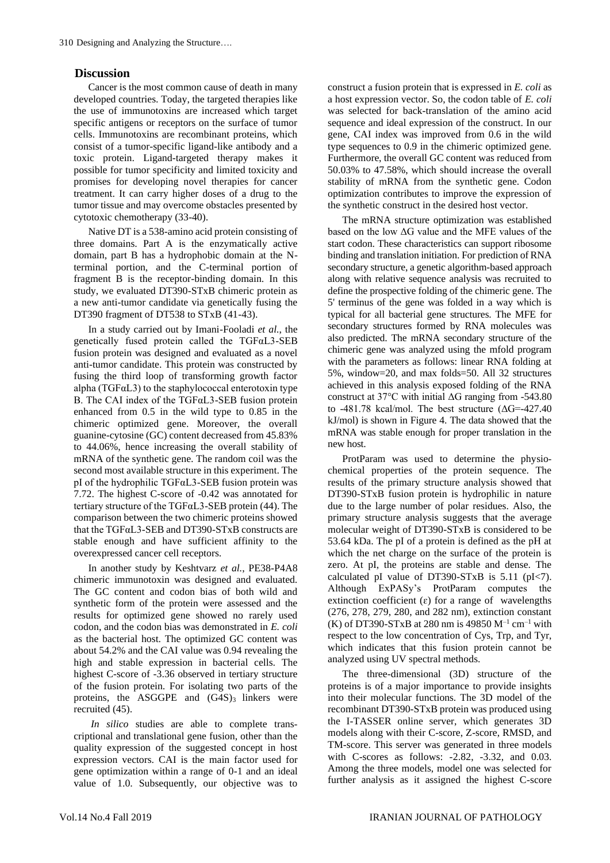# **Discussion**

Cancer is the most common cause of death in many developed countries. Today, the targeted therapies like the use of immunotoxins are increased which target specific antigens or receptors on the surface of tumor cells. Immunotoxins are recombinant proteins, which consist of a tumor-specific ligand-like antibody and a toxic protein. Ligand-targeted therapy makes it possible for tumor specificity and limited toxicity and promises for developing novel therapies for cancer treatment. It can carry higher doses of a drug to the tumor tissue and may overcome obstacles presented by cytotoxic chemotherapy (33-40).

Native DT is a 538-amino acid protein consisting of three domains. Part A is the enzymatically active domain, part B has a hydrophobic domain at the Nterminal portion, and the C-terminal portion of fragment B is the receptor-binding domain. In this study, we evaluated DT390-STxB chimeric protein as a new anti-tumor candidate via genetically fusing the DT390 fragment of DT538 to STxB (41-43).

In a study carried out by Imani-Fooladi *et al.*, the genetically fused protein called the TGFαL3-SEB fusion protein was designed and evaluated as a novel anti-tumor candidate. This protein was constructed by fusing the third loop of transforming growth factor alpha ( $TGF\alpha L3$ ) to the staphylococcal enterotoxin type B. The CAI index of the TGFαL3-SEB fusion protein enhanced from 0.5 in the wild type to 0.85 in the chimeric optimized gene. Moreover, the overall guanine-cytosine (GC) content decreased from 45.83% to 44.06%, hence increasing the overall stability of mRNA of the synthetic gene. The random coil was the second most available structure in this experiment. The pI of the hydrophilic TGFαL3-SEB fusion protein was 7.72. The highest C-score of -0.42 was annotated for tertiary structure of the TGFαL3-SEB protein (44). The comparison between the two chimeric proteins showed that the TGFαL3-SEB and DT390-STxB constructs are stable enough and have sufficient affinity to the overexpressed cancer cell receptors.

In another study by Keshtvarz *et al.*, PE38-P4A8 chimeric immunotoxin was designed and evaluated. The GC content and codon bias of both wild and synthetic form of the protein were assessed and the results for optimized gene showed no rarely used codon, and the codon bias was demonstrated in *E. coli* as the bacterial host. The optimized GC content was about 54.2% and the CAI value was 0.94 revealing the high and stable expression in bacterial cells. The highest C-score of -3.36 observed in tertiary structure of the fusion protein. For isolating two parts of the proteins, the ASGGPE and  $(G4S)$ <sub>3</sub> linkers were recruited (45).

*In silico* studies are able to complete transcriptional and translational gene fusion, other than the quality expression of the suggested concept in host expression vectors. CAI is the main factor used for gene optimization within a range of 0-1 and an ideal value of 1.0. Subsequently, our objective was to construct a fusion protein that is expressed in *E. coli* as a host expression vector. So, the codon table of *E. coli* was selected for back-translation of the amino acid sequence and ideal expression of the construct. In our gene, CAI index was improved from 0.6 in the wild type sequences to 0.9 in the chimeric optimized gene. Furthermore, the overall GC content was reduced from 50.03% to 47.58%, which should increase the overall stability of mRNA from the synthetic gene. Codon optimization contributes to improve the expression of the synthetic construct in the desired host vector.

The mRNA structure optimization was established based on the low ΔG value and the MFE values of the start codon. These characteristics can support ribosome binding and translation initiation. For prediction of RNA secondary structure, a genetic algorithm-based approach along with relative sequence analysis was recruited to define the prospective folding of the chimeric gene. The 5' terminus of the gene was folded in a way which is typical for all bacterial gene structures. The MFE for secondary structures formed by RNA molecules was also predicted. The mRNA secondary structure of the chimeric gene was analyzed using the mfold program with the parameters as follows: linear RNA folding at 5%, window=20, and max folds=50. All 32 structures achieved in this analysis exposed folding of the RNA construct at 37 $\degree$ C with initial  $\triangle G$  ranging from -543.80 to -481.78 kcal/mol. The best structure (ΔG=-427.40 kJ/mol) is shown in Figure 4. The data showed that the mRNA was stable enough for proper translation in the new host.

ProtParam was used to determine the physiochemical properties of the protein sequence. The results of the primary structure analysis showed that DT390-STxB fusion protein is hydrophilic in nature due to the large number of polar residues. Also, the primary structure analysis suggests that the average molecular weight of DT390-STxB is considered to be 53.64 kDa. The pI of a protein is defined as the pH at which the net charge on the surface of the protein is zero. At pI, the proteins are stable and dense. The calculated pI value of DT390-STxB is 5.11 (pI<7). Although ExPASy's ProtParam computes the extinction coefficient  $(\varepsilon)$  for a range of wavelengths (276, 278, 279, 280, and 282 nm), extinction constant (K) of DT390-STxB at 280 nm is 49850  $M^{-1}$  cm<sup>-1</sup> with respect to the low concentration of Cys, Trp, and Tyr, which indicates that this fusion protein cannot be analyzed using UV spectral methods.

The three-dimensional (3D) structure of the proteins is of a major importance to provide insights into their molecular functions. The 3D model of the recombinant DT390-STxB protein was produced using the I-TASSER online server, which generates 3D models along with their C-score, Z-score, RMSD, and TM-score. This server was generated in three models with C-scores as follows: -2.82, -3.32, and 0.03. Among the three models, model one was selected for further analysis as it assigned the highest C-score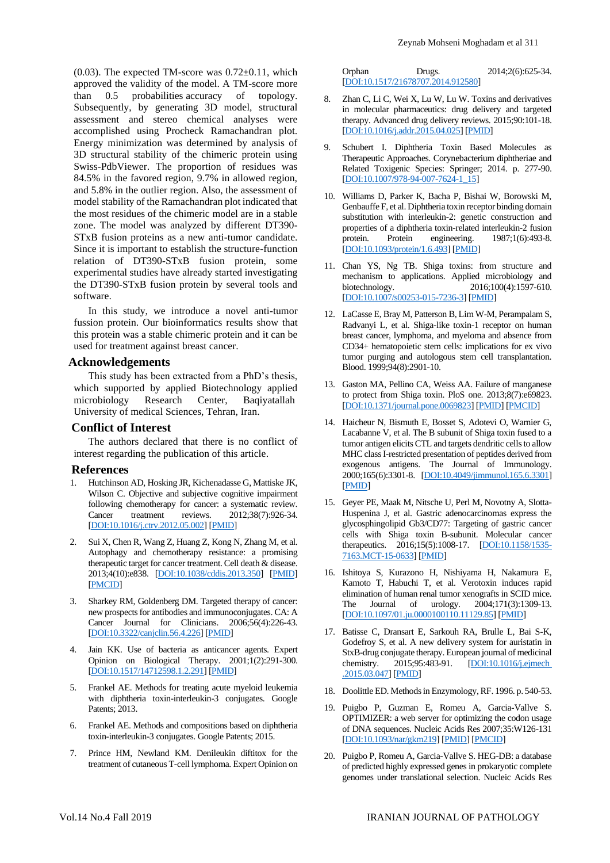$(0.03)$ . The expected TM-score was  $0.72\pm0.11$ , which approved the validity of the model. A TM-score more than 0.5 probabilities accuracy of topology. Subsequently, by generating 3D model, structural assessment and stereo chemical analyses were accomplished using Procheck Ramachandran plot. Energy minimization was determined by analysis of 3D structural stability of the chimeric protein using Swiss-PdbViewer. The proportion of residues was 84.5% in the favored region, 9.7% in allowed region, and 5.8% in the outlier region. Also, the assessment of model stability of the Ramachandran plot indicated that the most residues of the chimeric model are in a stable zone. The model was analyzed by different DT390- STxB fusion proteins as a new anti-tumor candidate. Since it is important to establish the structure-function relation of DT390-STxB fusion protein, some experimental studies have already started investigating the DT390-STxB fusion protein by several tools and software.

In this study, we introduce a novel anti-tumor fussion protein. Our bioinformatics results show that this protein was a stable chimeric protein and it can be used for treatment against breast cancer.

# **Acknowledgements**

This study has been extracted from a PhD's thesis, which supported by applied Biotechnology applied microbiology Research Center, Baqiyatallah University of medical Sciences, Tehran, Iran.

# **Conflict of Interest**

The authors declared that there is no conflict of interest regarding the publication of this article.

### **References**

- 1. Hutchinson AD, Hosking JR, Kichenadasse G, Mattiske JK, Wilson C. Objective and subjective cognitive impairment following chemotherapy for cancer: a systematic review. Cancer treatment reviews. 2012;38(7):926-34. [\[DOI:10.1016/j.ctrv.2012.05.002\]](https://doi.org/10.1016/j.ctrv.2012.05.002) [\[PMID\]](https://www.ncbi.nlm.nih.gov/pubmed/22658913)
- 2. Sui X, Chen R, Wang Z, Huang Z, Kong N, Zhang M, et al. Autophagy and chemotherapy resistance: a promising therapeutic target for cancer treatment. Cell death & disease. 2013;4(10):e838. [\[DOI:10.1038/cddis.2013.350\]](https://doi.org/10.1038/cddis.2013.350) [\[PMID\]](https://www.ncbi.nlm.nih.gov/pubmed/24113172) [\[PMCID\]](http://www.ncbi.nlm.nih.gov/pmc/articles/PMC3824660)
- 3. Sharkey RM, Goldenberg DM. Targeted therapy of cancer: new prospects for antibodies and immunoconjugates. CA: A Cancer Journal for Clinicians. 2006;56(4):226-43. [\[DOI:10.3322/canjclin.56.4.226\]](https://doi.org/10.3322/canjclin.56.4.226) [\[PMID\]](https://www.ncbi.nlm.nih.gov/pubmed/16870998)
- 4. Jain KK. Use of bacteria as anticancer agents. Expert Opinion on Biological Therapy. 2001;1(2):291-300. [\[DOI:10.1517/14712598.1.2.291\]](https://doi.org/10.1517/14712598.1.2.291) [\[PMID\]](https://www.ncbi.nlm.nih.gov/pubmed/11727536)
- 5. Frankel AE. Methods for treating acute myeloid leukemia with diphtheria toxin-interleukin-3 conjugates. Google Patents; 2013.
- 6. Frankel AE. Methods and compositions based on diphtheria toxin-interleukin-3 conjugates. Google Patents; 2015.
- 7. Prince HM, Newland KM. Denileukin diftitox for the treatment of cutaneous T-cell lymphoma. Expert Opinion on

Orphan Drugs. 2014;2(6):625-34. [\[DOI:10.1517/21678707.2014.912580\]](https://doi.org/10.1517/21678707.2014.912580)

- 8. Zhan C, Li C, Wei X, Lu W, Lu W. Toxins and derivatives in molecular pharmaceutics: drug delivery and targeted therapy. Advanced drug delivery reviews. 2015;90:101-18. [\[DOI:10.1016/j.addr.2015.04.025\]](https://doi.org/10.1016/j.addr.2015.04.025) [\[PMID\]](https://www.ncbi.nlm.nih.gov/pubmed/25959429)
- 9. Schubert I. Diphtheria Toxin Based Molecules as Therapeutic Approaches. Corynebacterium diphtheriae and Related Toxigenic Species: Springer; 2014. p. 277-90. [\[DOI:10.1007/978-94-007-7624-1\\_15\]](https://doi.org/10.1007/978-94-007-7624-1_15)
- 10. Williams D, Parker K, Bacha P, Bishai W, Borowski M, Genbauffe F, et al. Diphtheria toxin receptor binding domain substitution with interleukin-2: genetic construction and properties of a diphtheria toxin-related interleukin-2 fusion protein. Protein engineering. 1987;1(6):493-8. [\[DOI:10.1093/protein/1.6.493\]](https://doi.org/10.1093/protein/1.6.493) [\[PMID\]](https://www.ncbi.nlm.nih.gov/pubmed/3334101)
- 11. Chan YS, Ng TB. Shiga toxins: from structure and mechanism to applications. Applied microbiology and biotechnology. 2016;100(4):1597-610. 2016;100(4):1597-610. [\[DOI:10.1007/s00253-015-7236-3\]](https://doi.org/10.1007/s00253-015-7236-3) [\[PMID\]](https://www.ncbi.nlm.nih.gov/pubmed/26685676)
- 12. LaCasse E, Bray M, Patterson B, Lim W-M, Perampalam S, Radvanyi L, et al. Shiga-like toxin-1 receptor on human breast cancer, lymphoma, and myeloma and absence from CD34+ hematopoietic stem cells: implications for ex vivo tumor purging and autologous stem cell transplantation. Blood. 1999;94(8):2901-10.
- 13. Gaston MA, Pellino CA, Weiss AA. Failure of manganese to protect from Shiga toxin. PloS one. 2013;8(7):e69823. [\[DOI:10.1371/journal.pone.0069823\]](https://doi.org/10.1371/journal.pone.0069823) [\[PMID\]](https://www.ncbi.nlm.nih.gov/pubmed/23875002) [\[PMCID\]](http://www.ncbi.nlm.nih.gov/pmc/articles/PMC3713051)
- 14. Haicheur N, Bismuth E, Bosset S, Adotevi O, Warnier G, Lacabanne V, et al. The B subunit of Shiga toxin fused to a tumor antigen elicits CTL and targets dendritic cells to allow MHC class I-restricted presentation of peptides derived from exogenous antigens. The Journal of Immunology. 2000;165(6):3301-8. [\[DOI:10.4049/jimmunol.165.6.3301\]](https://doi.org/10.4049/jimmunol.165.6.3301) [\[PMID\]](https://www.ncbi.nlm.nih.gov/pubmed/10975847)
- 15. Geyer PE, Maak M, Nitsche U, Perl M, Novotny A, Slotta-Huspenina J, et al. Gastric adenocarcinomas express the glycosphingolipid Gb3/CD77: Targeting of gastric cancer cells with Shiga toxin B-subunit. Molecular cancer therapeutics. 2016;15(5):1008-17. [\[DOI:10.1158/1535-](https://doi.org/10.1158/1535-7163.MCT-15-0633) [7163.MCT-15-0633\]](https://doi.org/10.1158/1535-7163.MCT-15-0633) [\[PMID\]](https://www.ncbi.nlm.nih.gov/pubmed/26826119)
- 16. Ishitoya S, Kurazono H, Nishiyama H, Nakamura E, Kamoto T, Habuchi T, et al. Verotoxin induces rapid elimination of human renal tumor xenografts in SCID mice. The Journal of urology. 2004;171(3):1309-13. [\[DOI:10.1097/01.ju.0000100110.11129.85\]](https://doi.org/10.1097/01.ju.0000100110.11129.85) [\[PMID\]](https://www.ncbi.nlm.nih.gov/pubmed/14767339)
- 17. Batisse C, Dransart E, Sarkouh RA, Brulle L, Bai S-K, Godefroy S, et al. A new delivery system for auristatin in StxB-drug conjugate therapy. European journal of medicinal chemistry. 2015;95:483-91. [\[DOI:10.1016/j.ejmech](https://doi.org/10.1016/j.ejmech.2015.03.047)  [.2015.03.047\]](https://doi.org/10.1016/j.ejmech.2015.03.047) [\[PMID\]](https://www.ncbi.nlm.nih.gov/pubmed/25847766)
- 18. Doolittle ED. Methods in Enzymology, RF. 1996. p. 540-53.
- 19. Puigbo P, Guzman E, Romeu A, Garcia-Vallve S. OPTIMIZER: a web server for optimizing the codon usage of DNA sequences. Nucleic Acids Res 2007;35:W126-131 [\[DOI:10.1093/nar/gkm219\]](https://doi.org/10.1093/nar/gkm219) [\[PMID\]](https://www.ncbi.nlm.nih.gov/pubmed/17439967) [\[PMCID\]](http://www.ncbi.nlm.nih.gov/pmc/articles/PMC1933141)
- 20. Puigbo P, Romeu A, Garcia-Vallve S. HEG-DB: a database of predicted highly expressed genes in prokaryotic complete genomes under translational selection. Nucleic Acids Res